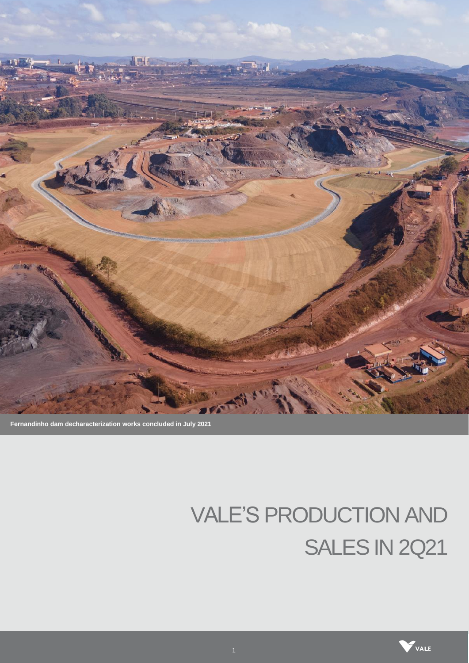

**Fernandinho dam decharacterization works concluded in July 2021** 

# VALE'S PRODUCTION AND SALES IN 2Q21

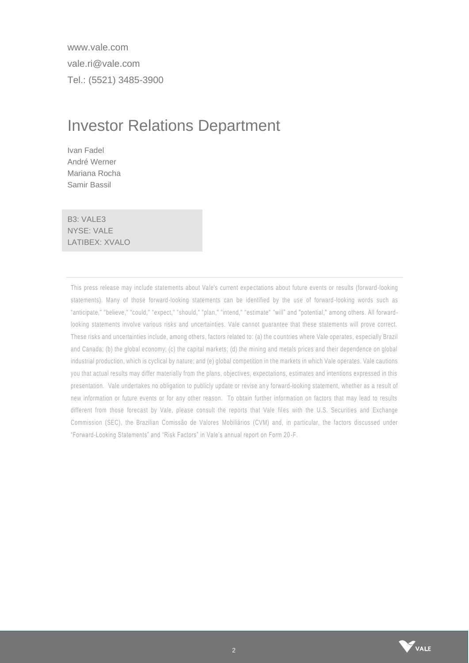www.vale.com vale.ri@vale.com Tel.: (5521) 3485-3900

# Investor Relations Department

Ivan Fadel André Werner Mariana Rocha Samir Bassil

B3: VALE3 NYSE: VALE LATIBEX: XVALO

This press release may include statements about Vale's current expe ctations about future events or results (forward -looking statements). Many of those forward-looking statements can be identified by the use of forward -looking words such as "anticipate," "believe," "could," "expect," "should," "plan," "intend," "estimate" "will" and "potential," among others. All forwardlooking statements involve various risks and uncertainties. Vale cannot guarantee that these statements will prove correct. These risks and uncertainties include, among others, factors related to: (a) the c ountries where Vale operates, especially Brazil and Canada; (b) the global economy; (c) the capital markets; (d) the mining and metals prices and their dependence on global industrial production, which is cyclical by nature; and (e) global competition in the markets in which Vale operates. Vale cautions you that actual results may differ materially from the plans, objectives, expectations, estimates and intentions expressed in this presentation. Vale undertakes no obligation to publicly update or revise any forward-looking statement, whether as a result of new information or future events or for any other reason. To obtain further information on factors that may lead to results different from those forecast by Vale, please consult the reports that Vale files with the U.S. Securities and Exchange Commission (SEC), the Brazilian Comissão de Valores Mobiliários (CVM) and, in particular, the factors discussed under "Forward-Looking Statements" and "Risk Factors" in Vale's annual report on Form 20 -F.

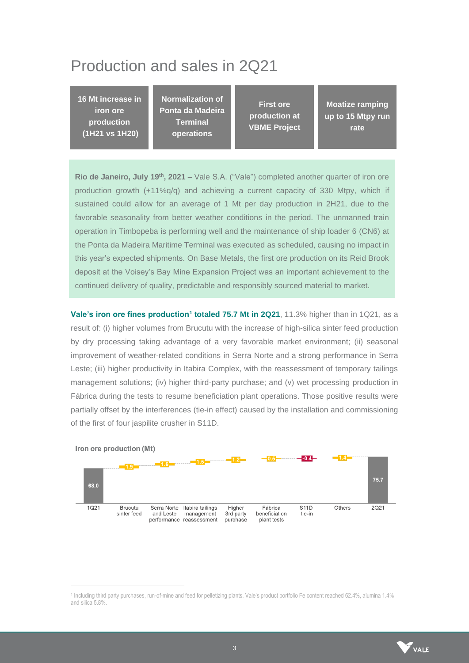# Production and sales in 2Q21

**16 Mt increase in iron ore production (1H21 vs 1H20)**

**Normalization of Ponta da Madeira Terminal operations** 

**First ore production at VBME Project**

**Moatize ramping up to 15 Mtpy run rate**

**Rio de Janeiro, July 19th, 2021** – Vale S.A. ("Vale") completed another quarter of iron ore production growth  $(+11\%q/q)$  and achieving a current capacity of 330 Mtpy, which if sustained could allow for an average of 1 Mt per day production in 2H21, due to the favorable seasonality from better weather conditions in the period. The unmanned train operation in Timbopeba is performing well and the maintenance of ship loader 6 (CN6) at the Ponta da Madeira Maritime Terminal was executed as scheduled, causing no impact in this year's expected shipments. On Base Metals, the first ore production on its Reid Brook deposit at the Voisey's Bay Mine Expansion Project was an important achievement to the continued delivery of quality, predictable and responsibly sourced material to market.

**Vale's iron ore fines production<sup>1</sup> totaled 75.7 Mt in 2Q21**, 11.3% higher than in 1Q21, as a result of: (i) higher volumes from Brucutu with the increase of high-silica sinter feed production by dry processing taking advantage of a very favorable market environment; (ii) seasonal improvement of weather-related conditions in Serra Norte and a strong performance in Serra Leste; (iii) higher productivity in Itabira Complex, with the reassessment of temporary tailings management solutions; (iv) higher third-party purchase; and (v) wet processing production in Fábrica during the tests to resume beneficiation plant operations. Those positive results were partially offset by the interferences (tie-in effect) caused by the installation and commissioning of the first of four jaspilite crusher in S11D.



Iron ore production (Mt)

<sup>1</sup> Including third party purchases, run-of-mine and feed for pelletizing plants. Vale's product portfolio Fe content reached 62.4%, alumina 1.4% and silica 5.8%.

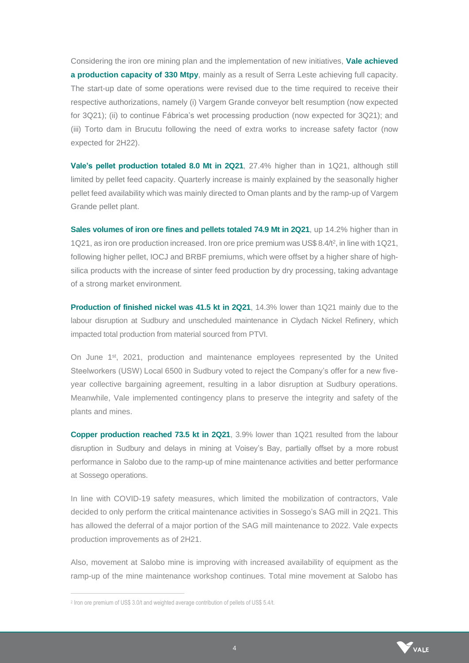Considering the iron ore mining plan and the implementation of new initiatives, **Vale achieved a production capacity of 330 Mtpy**, mainly as a result of Serra Leste achieving full capacity. The start-up date of some operations were revised due to the time required to receive their respective authorizations, namely (i) Vargem Grande conveyor belt resumption (now expected for 3Q21); (ii) to continue Fábrica's wet processing production (now expected for 3Q21); and (iii) Torto dam in Brucutu following the need of extra works to increase safety factor (now expected for 2H22).

**Vale's pellet production totaled 8.0 Mt in 2Q21**, 27.4% higher than in 1Q21, although still limited by pellet feed capacity. Quarterly increase is mainly explained by the seasonally higher pellet feed availability which was mainly directed to Oman plants and by the ramp-up of Vargem Grande pellet plant.

**Sales volumes of iron ore fines and pellets totaled 74.9 Mt in 2Q21**, up 14.2% higher than in 1Q21, as iron ore production increased. Iron ore price premium was US\$ 8.4/t<sup>2</sup> , in line with 1Q21, following higher pellet, IOCJ and BRBF premiums, which were offset by a higher share of highsilica products with the increase of sinter feed production by dry processing, taking advantage of a strong market environment.

**Production of finished nickel was 41.5 kt in 2Q21**, 14.3% lower than 1Q21 mainly due to the labour disruption at Sudbury and unscheduled maintenance in Clydach Nickel Refinery, which impacted total production from material sourced from PTVI.

On June 1<sup>st</sup>, 2021, production and maintenance employees represented by the United Steelworkers (USW) Local 6500 in Sudbury voted to reject the Company's offer for a new fiveyear collective bargaining agreement, resulting in a labor disruption at Sudbury operations. Meanwhile, Vale implemented contingency plans to preserve the integrity and safety of the plants and mines.

**Copper production reached 73.5 kt in 2Q21**, 3.9% lower than 1Q21 resulted from the labour disruption in Sudbury and delays in mining at Voisey's Bay, partially offset by a more robust performance in Salobo due to the ramp-up of mine maintenance activities and better performance at Sossego operations.

In line with COVID-19 safety measures, which limited the mobilization of contractors, Vale decided to only perform the critical maintenance activities in Sossego's SAG mill in 2Q21. This has allowed the deferral of a major portion of the SAG mill maintenance to 2022. Vale expects production improvements as of 2H21.

Also, movement at Salobo mine is improving with increased availability of equipment as the ramp-up of the mine maintenance workshop continues. Total mine movement at Salobo has



<sup>2</sup> Iron ore premium of US\$ 3.0/t and weighted average contribution of pellets of US\$ 5.4/t.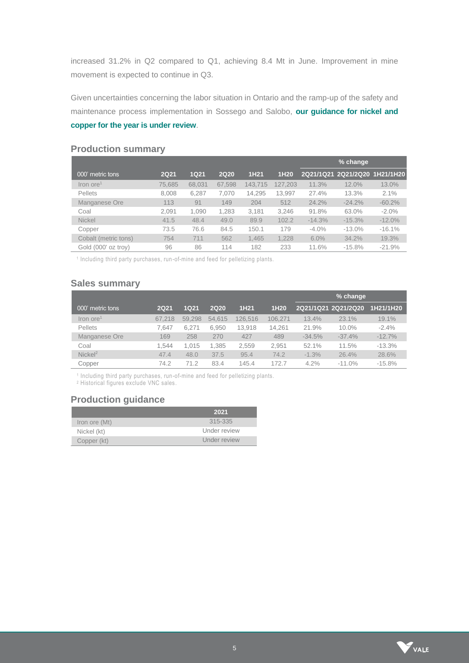increased 31.2% in Q2 compared to Q1, achieving 8.4 Mt in June. Improvement in mine movement is expected to continue in Q3.

Given uncertainties concerning the labor situation in Ontario and the ramp-up of the safety and maintenance process implementation in Sossego and Salobo, **our guidance for nickel and copper for the year is under review**.

|                                |             |        |             |                  |                  |          | % change                      |           |
|--------------------------------|-------------|--------|-------------|------------------|------------------|----------|-------------------------------|-----------|
| 000' metric tons               | <b>2Q21</b> | 1Q21   | <b>2Q20</b> | 1H <sub>21</sub> | 1H <sub>20</sub> |          | 2Q21/1Q21 2Q21/2Q20 1H21/1H20 |           |
| $\text{Iron}$ ore <sup>1</sup> | 75,685      | 68,031 | 67.598      | 143.715          | 127,203          | 11.3%    | 12.0%                         | 13.0%     |
| <b>Pellets</b>                 | 8.008       | 6,287  | 7.070       | 14,295           | 13.997           | 27.4%    | 13.3%                         | 2.1%      |
| Manganese Ore                  | 113         | 91     | 149         | 204              | 512              | 24.2%    | $-24.2%$                      | $-60.2%$  |
| Coal                           | 2.091       | 1,090  | 1,283       | 3,181            | 3,246            | 91.8%    | 63.0%                         | $-2.0\%$  |
| <b>Nickel</b>                  | 41.5        | 48.4   | 49.0        | 89.9             | 102.2            | $-14.3%$ | $-15.3%$                      | $-12.0\%$ |
| Copper                         | 73.5        | 76.6   | 84.5        | 150.1            | 179              | $-4.0%$  | $-13.0\%$                     | $-16.1%$  |
| Cobalt (metric tons)           | 754         | 711    | 562         | 1.465            | 1,228            | $6.0\%$  | 34.2%                         | 19.3%     |
| Gold (000' oz trov)            | 96          | 86     | 114         | 182              | 233              | 11.6%    | $-15.8%$                      | $-21.9%$  |

#### **Production summary**

<sup>1</sup> Including third party purchases, run-of-mine and feed for pelletizing plants.

#### **Sales summary**

|                                |             |        |             |         |         |          | % change            |           |
|--------------------------------|-------------|--------|-------------|---------|---------|----------|---------------------|-----------|
| 000' metric tons               | <b>2Q21</b> | 1Q21   | <b>2Q20</b> | 1H21    | 1H20    |          | 2021/1021 2021/2020 | 1H21/1H20 |
| $\text{Iron}$ ore <sup>1</sup> | 67.218      | 59.298 | 54.615      | 126,516 | 106,271 | 13.4%    | 23.1%               | 19.1%     |
| <b>Pellets</b>                 | 7.647       | 6.271  | 6.950       | 13,918  | 14,261  | 21.9%    | 10.0%               | $-2.4%$   |
| Manganese Ore                  | 169         | 258    | 270         | 427     | 489     | $-34.5%$ | $-37.4%$            | $-12.7%$  |
| Coal                           | 1.544       | 1.015  | 1.385       | 2.559   | 2.951   | 52.1%    | 11.5%               | $-13.3%$  |
| Nickel <sup>2</sup>            | 47.4        | 48.0   | 37.5        | 95.4    | 74.2    | $-1.3%$  | 26.4%               | 28.6%     |
| Copper                         | 74.2        | 71.2   | 83.4        | 145.4   | 172.7   | 4.2%     | $-11.0%$            | $-15.8%$  |

<sup>1</sup> Including third party purchases, run-of-mine and feed for pelletizing plants.

2 Historical figures exclude VNC sales.

#### **Production guidance**

|               | 2021         |
|---------------|--------------|
| Iron ore (Mt) | 315-335      |
| Nickel (kt)   | Under review |
| Copper (kt)   | Under review |

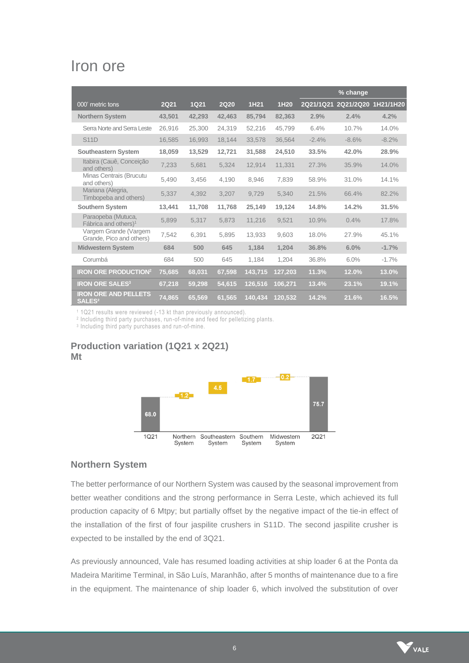# Iron ore

|                                                        |             |             |             |         |         |           | % change            |         |
|--------------------------------------------------------|-------------|-------------|-------------|---------|---------|-----------|---------------------|---------|
| 000' metric tons                                       | <b>2Q21</b> | <b>1Q21</b> | <b>2Q20</b> | 1H21    | 1H20    | 2Q21/1Q21 | 2Q21/2Q20 1H21/1H20 |         |
| <b>Northern System</b>                                 | 43,501      | 42,293      | 42,463      | 85,794  | 82,363  | 2.9%      | 2.4%                | 4.2%    |
| Serra Norte and Serra Leste                            | 26.916      | 25,300      | 24,319      | 52,216  | 45,799  | 6.4%      | 10.7%               | 14.0%   |
| <b>S11D</b>                                            | 16,585      | 16,993      | 18,144      | 33,578  | 36,564  | $-2.4%$   | $-8.6%$             | $-8.2%$ |
| <b>Southeastern System</b>                             | 18,059      | 13,529      | 12,721      | 31,588  | 24,510  | 33.5%     | 42.0%               | 28.9%   |
| Itabira (Cauê, Conceição<br>and others)                | 7,233       | 5,681       | 5,324       | 12,914  | 11,331  | 27.3%     | 35.9%               | 14.0%   |
| Minas Centrais (Brucutu<br>and others)                 | 5,490       | 3.456       | 4,190       | 8,946   | 7,839   | 58.9%     | 31.0%               | 14.1%   |
| Mariana (Alegria,<br>Timbopeba and others)             | 5,337       | 4,392       | 3,207       | 9,729   | 5.340   | 21.5%     | 66.4%               | 82.2%   |
| <b>Southern System</b>                                 | 13,441      | 11,708      | 11,768      | 25,149  | 19,124  | 14.8%     | 14.2%               | 31.5%   |
| Paraopeba (Mutuca,<br>Fábrica and others) <sup>1</sup> | 5,899       | 5,317       | 5,873       | 11,216  | 9,521   | 10.9%     | 0.4%                | 17.8%   |
| Vargem Grande (Vargem<br>Grande, Pico and others)      | 7.542       | 6.391       | 5.895       | 13,933  | 9.603   | 18.0%     | 27.9%               | 45.1%   |
| <b>Midwestern System</b>                               | 684         | 500         | 645         | 1.184   | 1.204   | 36.8%     | 6.0%                | $-1.7%$ |
| Corumbá                                                | 684         | 500         | 645         | 1,184   | 1,204   | 36.8%     | 6.0%                | $-1.7%$ |
| <b>IRON ORE PRODUCTION<sup>2</sup></b>                 | 75,685      | 68,031      | 67,598      | 143,715 | 127,203 | 11.3%     | 12.0%               | 13.0%   |
| <b>IRON ORE SALES<sup>3</sup></b>                      | 67,218      | 59,298      | 54,615      | 126,516 | 106,271 | 13.4%     | 23.1%               | 19.1%   |
| <b>IRON ORE AND PELLETS</b><br><b>SALES2</b>           | 74,865      | 65,569      | 61,565      | 140,434 | 120.532 | 14.2%     | 21.6%               | 16.5%   |

<sup>1</sup> 1Q21 results were reviewed (-13 kt than previously announced).

2 Including third party purchases, run-of-mine and feed for pelletizing plants.

3 Including third party purchases and run-of-mine.

### **Production variation (1Q21 x 2Q21) Mt**



#### **Northern System**

The better performance of our Northern System was caused by the seasonal improvement from better weather conditions and the strong performance in Serra Leste, which achieved its full production capacity of 6 Mtpy; but partially offset by the negative impact of the tie-in effect of the installation of the first of four jaspilite crushers in S11D. The second jaspilite crusher is expected to be installed by the end of 3Q21.

As previously announced, Vale has resumed loading activities at ship loader 6 at the Ponta da Madeira Maritime Terminal, in São Luís, Maranhão, after 5 months of maintenance due to a fire in the equipment. The maintenance of ship loader 6, which involved the substitution of over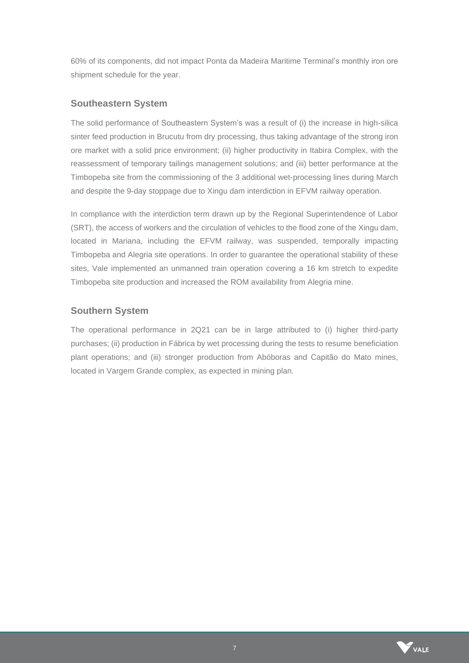60% of its components, did not impact Ponta da Madeira Maritime Terminal's monthly iron ore shipment schedule for the year.

### **Southeastern System**

The solid performance of Southeastern System's was a result of (i) the increase in high-silica sinter feed production in Brucutu from dry processing, thus taking advantage of the strong iron ore market with a solid price environment; (ii) higher productivity in Itabira Complex, with the reassessment of temporary tailings management solutions; and (iii) better performance at the Timbopeba site from the commissioning of the 3 additional wet-processing lines during March and despite the 9-day stoppage due to Xingu dam interdiction in EFVM railway operation.

In compliance with the interdiction term drawn up by the Regional Superintendence of Labor (SRT), the access of workers and the circulation of vehicles to the flood zone of the Xingu dam, located in Mariana, including the EFVM railway, was suspended, temporally impacting Timbopeba and Alegria site operations. In order to guarantee the operational stability of these sites, Vale implemented an unmanned train operation covering a 16 km stretch to expedite Timbopeba site production and increased the ROM availability from Alegria mine.

#### **Southern System**

The operational performance in 2Q21 can be in large attributed to (i) higher third-party purchases; (ii) production in Fábrica by wet processing during the tests to resume beneficiation plant operations; and (iii) stronger production from Abóboras and Capitão do Mato mines, located in Vargem Grande complex, as expected in mining plan.

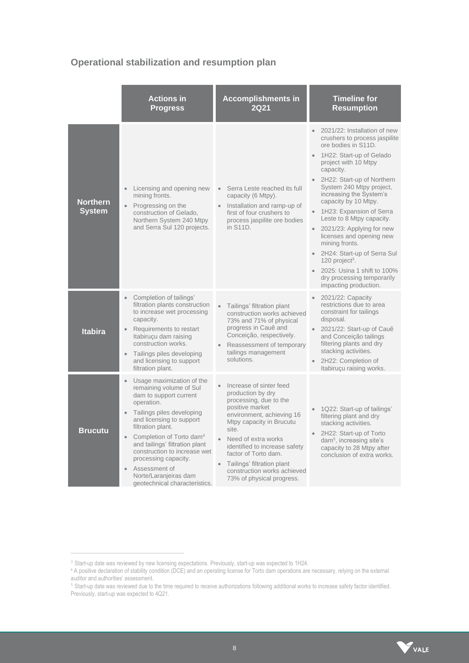# **Operational stabilization and resumption plan**

|                                  | <b>Actions in</b><br><b>Progress</b>                                                                                                                                                                                                                                                                                                                                                                                           | <b>Accomplishments in</b><br>2Q21                                                                                                                                                                                                                                                                                                                                            | <b>Timeline for</b><br><b>Resumption</b>                                                                                                                                                                                                                                                                                                                                                                                                                                                                                                                        |
|----------------------------------|--------------------------------------------------------------------------------------------------------------------------------------------------------------------------------------------------------------------------------------------------------------------------------------------------------------------------------------------------------------------------------------------------------------------------------|------------------------------------------------------------------------------------------------------------------------------------------------------------------------------------------------------------------------------------------------------------------------------------------------------------------------------------------------------------------------------|-----------------------------------------------------------------------------------------------------------------------------------------------------------------------------------------------------------------------------------------------------------------------------------------------------------------------------------------------------------------------------------------------------------------------------------------------------------------------------------------------------------------------------------------------------------------|
| <b>Northern</b><br><b>System</b> | Licensing and opening new<br>$\bullet$<br>mining fronts.<br>Progressing on the<br>$\bullet$<br>construction of Gelado,<br>Northern System 240 Mtpy<br>and Serra Sul 120 projects.                                                                                                                                                                                                                                              | Serra Leste reached its full<br>capacity (6 Mtpy).<br>Installation and ramp-up of<br>first of four crushers to<br>process jaspilite ore bodies<br>in S11D.                                                                                                                                                                                                                   | 2021/22: Installation of new<br>crushers to process jaspilite<br>ore bodies in S11D.<br>1H22: Start-up of Gelado<br>project with 10 Mtpy<br>capacity.<br>• 2H22: Start-up of Northern<br>System 240 Mtpy project,<br>increasing the System's<br>capacity by 10 Mtpy.<br>1H23: Expansion of Serra<br>Leste to 8 Mtpy capacity.<br>2021/23: Applying for new<br>licenses and opening new<br>mining fronts.<br>• 2H24: Start-up of Serra Sul<br>120 project <sup>3</sup> .<br>• 2025: Usina 1 shift to 100%<br>dry processing temporarily<br>impacting production. |
| <b>Itabira</b>                   | Completion of tailings'<br>filtration plants construction<br>to increase wet processing<br>capacity.<br>Requirements to restart<br>Itabirucu dam raising<br>construction works.<br>Tailings piles developing<br>$\bullet$<br>and licensing to support<br>filtration plant.                                                                                                                                                     | $\bullet$<br>Tailings' filtration plant<br>construction works achieved<br>73% and 71% of physical<br>progress in Cauê and<br>Conceição, respectively.<br>Reassessment of temporary<br>tailings management<br>solutions.                                                                                                                                                      | 2021/22: Capacity<br>restrictions due to area<br>constraint for tailings<br>disposal.<br>2021/22: Start-up of Cauê<br>and Conceição tailings<br>filtering plants and dry<br>stacking activities.<br>2H22: Completion of<br>Itabiruçu raising works.                                                                                                                                                                                                                                                                                                             |
| <b>Brucutu</b>                   | Usage maximization of the<br>remaining volume of Sul<br>dam to support current<br>operation.<br>Tailings piles developing<br>$\bullet$<br>and licensing to support<br>filtration plant.<br>Completion of Torto dam <sup>4</sup><br>$\bullet$<br>and tailings' filtration plant<br>construction to increase wet<br>processing capacity.<br>Assessment of<br>$\bullet$<br>Norte/Laranjeiras dam<br>geotechnical characteristics. | Increase of sinter feed<br>$\bullet$<br>production by dry<br>processing, due to the<br>positive market<br>environment, achieving 16<br>Mtpy capacity in Brucutu<br>site.<br>$\bullet$<br>Need of extra works<br>identified to increase safety<br>factor of Torto dam.<br>Tailings' filtration plant<br>$\bullet$<br>construction works achieved<br>73% of physical progress. | 1Q22: Start-up of tailings'<br>filtering plant and dry<br>stacking activities.<br>2H22: Start-up of Torto<br>dam <sup>5</sup> , increasing site's<br>capacity to 28 Mtpy after<br>conclusion of extra works.                                                                                                                                                                                                                                                                                                                                                    |

<sup>&</sup>lt;sup>3</sup> Start-up date was reviewed by new licensing expectations. Previously, start-up was expected to 1H24.

<sup>4</sup> A positive declaration of stability condition (DCE) and an operating license for Torto dam operations are necessary, relying on the external auditor and authorities' assessment.

<sup>&</sup>lt;sup>5</sup> Start-up date was reviewed due to the time required to receive authorizations following additional works to increase safety factor identified. Previously, start-up was expected to 4Q21.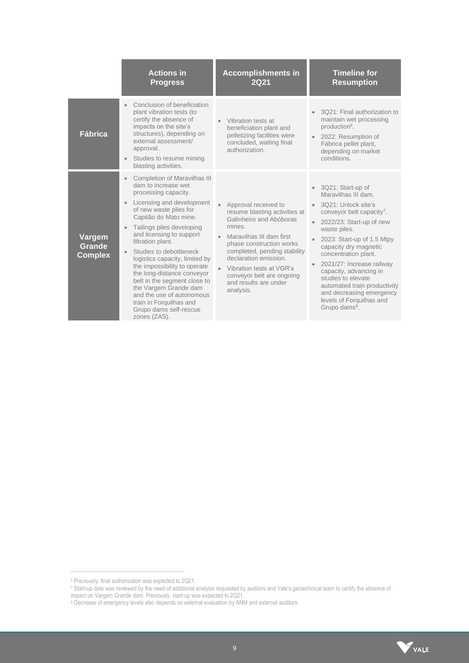|                                           | <b>Actions in</b><br><b>Progress</b>                                                                                                                                                                                                                                                                                                                                                                                                                                                                                                                                                       | <b>Accomplishments in</b><br>2021                                                                                                                                                                                                                                                                          | <b>Timeline for</b><br><b>Resumption</b>                                                                                                                                                                                                                                                                                                                                                                                              |
|-------------------------------------------|--------------------------------------------------------------------------------------------------------------------------------------------------------------------------------------------------------------------------------------------------------------------------------------------------------------------------------------------------------------------------------------------------------------------------------------------------------------------------------------------------------------------------------------------------------------------------------------------|------------------------------------------------------------------------------------------------------------------------------------------------------------------------------------------------------------------------------------------------------------------------------------------------------------|---------------------------------------------------------------------------------------------------------------------------------------------------------------------------------------------------------------------------------------------------------------------------------------------------------------------------------------------------------------------------------------------------------------------------------------|
| <b>Fábrica</b>                            | Conclusion of beneficiation<br>plant vibration tests (to<br>certify the absence of<br>impacts on the site's<br>structures), depending on<br>external assessment/<br>approval.<br>Studies to resume mining<br>$\bullet$<br>blasting activities.                                                                                                                                                                                                                                                                                                                                             | Vibration tests at<br>beneficiation plant and<br>pelletizing facilities were<br>concluded, waiting final<br>authorization.                                                                                                                                                                                 | 3Q21: Final authorization to<br>maintain wet processing<br>production <sup>6</sup> .<br>2022: Resumption of<br>Fábrica pellet plant,<br>depending on market<br>conditions.                                                                                                                                                                                                                                                            |
| Vargem<br><b>Grande</b><br><b>Complex</b> | <b>Completion of Maravilhas III</b><br>$\bullet$<br>dam to increase wet<br>processing capacity.<br>Licensing and development<br>$\bullet$<br>of new waste piles for<br>Capitão do Mato mine.<br>Tailings piles developing<br>$\bullet$<br>and licensing to support<br>filtration plant.<br>Studies to debottleneck<br>$\bullet$<br>logistics capacity, limited by<br>the impossibility to operate<br>the long-distance conveyor<br>belt in the segment close to<br>the Vargem Grande dam<br>and the use of autonomous<br>train in Forguilhas and<br>Grupo dams self-rescue<br>zones (ZAS). | Approval received to<br>resume blasting activities at<br>Galinheiro and Abóboras<br>mines.<br>Maravilhas III dam first<br>phase construction works<br>completed, pending stability<br>declaration emission.<br>Vibration tests at VGR's<br>conveyor belt are ongoing<br>and results are under<br>analysis. | 3Q21: Start-up of<br>Maravilhas III dam.<br>3021: Unlock site's<br>conveyor belt capacity <sup>7</sup> .<br>2022/23: Start-up of new<br>waste piles.<br>2023: Start-up of 1.5 Mtpy<br>capacity dry magnetic<br>concentration plant.<br>2021/27: Increase railway<br>capacity, advancing in<br>studies to elevate<br>automated train productivity<br>and decreasing emergency<br>levels of Forguilhas and<br>Grupo dams <sup>8</sup> . |



<sup>6</sup> Previously, final authorization was expected to 2Q21.

<sup>7</sup> Start-up date was reviewed by the need of additional analysis requested by auditors and Vale's geotechnical team to certify the absence of

impact on Vargem Grande dam. Previously, start-up was expected to 2Q21.

<sup>&</sup>lt;sup>8</sup> Decrease of emergency levels also depends on external evaluation by ANM and external auditors.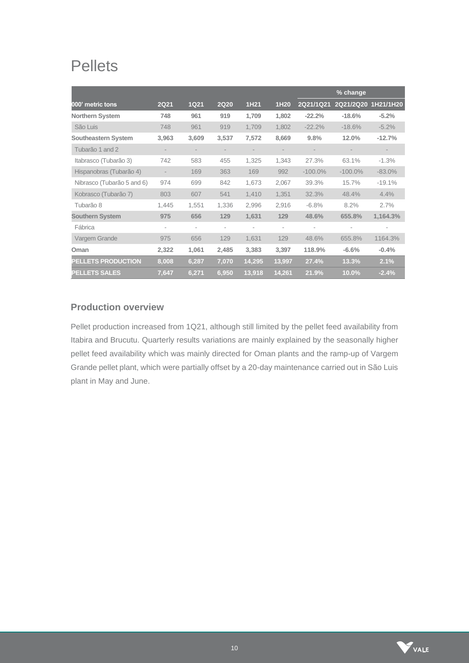# **Pellets**

|                            |             |                          |             |        |                          |            | % change            |          |
|----------------------------|-------------|--------------------------|-------------|--------|--------------------------|------------|---------------------|----------|
| 000' metric tons           | <b>2Q21</b> | <b>1Q21</b>              | <b>2Q20</b> | 1H21   | 1H20                     | 2Q21/1Q21  | 2Q21/2Q20 1H21/1H20 |          |
| <b>Northern System</b>     | 748         | 961                      | 919         | 1,709  | 1,802                    | $-22.2%$   | $-18.6%$            | $-5.2%$  |
| São Luis                   | 748         | 961                      | 919         | 1,709  | 1.802                    | $-22.2%$   | $-18.6%$            | $-5.2\%$ |
| <b>Southeastern System</b> | 3,963       | 3,609                    | 3,537       | 7,572  | 8,669                    | 9.8%       | 12.0%               | $-12.7%$ |
| Tubarão 1 and 2            |             | $\overline{\phantom{a}}$ |             |        | $\overline{\phantom{a}}$ |            |                     |          |
| Itabrasco (Tubarão 3)      | 742         | 583                      | 455         | 1,325  | 1,343                    | 27.3%      | 63.1%               | $-1.3%$  |
| Hispanobras (Tubarão 4)    |             | 169                      | 363         | 169    | 992                      | $-100.0\%$ | $-100.0\%$          | $-83.0%$ |
| Nibrasco (Tubarão 5 and 6) | 974         | 699                      | 842         | 1,673  | 2,067                    | 39.3%      | 15.7%               | $-19.1%$ |
| Kobrasco (Tubarão 7)       | 803         | 607                      | 541         | 1,410  | 1,351                    | 32.3%      | 48.4%               | 4.4%     |
| Tubarão 8                  | 1,445       | 1,551                    | 1,336       | 2,996  | 2,916                    | $-6.8%$    | 8.2%                | 2.7%     |
| <b>Southern System</b>     | 975         | 656                      | 129         | 1,631  | 129                      | 48.6%      | 655.8%              | 1,164.3% |
| Fábrica                    | ۰           |                          | ٠           |        | ٠                        |            |                     | ٠        |
| Vargem Grande              | 975         | 656                      | 129         | 1,631  | 129                      | 48.6%      | 655.8%              | 1164.3%  |
| Oman                       | 2,322       | 1,061                    | 2,485       | 3,383  | 3,397                    | 118.9%     | $-6.6%$             | $-0.4%$  |
| <b>PELLETS PRODUCTION</b>  | 8,008       | 6,287                    | 7,070       | 14,295 | 13,997                   | 27.4%      | 13.3%               | 2.1%     |
| <b>PELLETS SALES</b>       | 7,647       | 6,271                    | 6,950       | 13,918 | 14,261                   | 21.9%      | 10.0%               | $-2.4%$  |

# **Production overview**

Pellet production increased from 1Q21, although still limited by the pellet feed availability from Itabira and Brucutu. Quarterly results variations are mainly explained by the seasonally higher pellet feed availability which was mainly directed for Oman plants and the ramp-up of Vargem Grande pellet plant, which were partially offset by a 20-day maintenance carried out in São Luis plant in May and June.

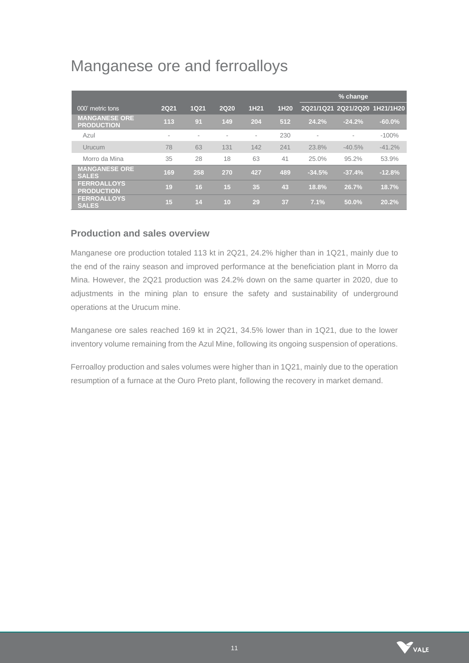# Manganese ore and ferroalloys

|                                           |      |      |                          |                          |      |          | % change                      |           |
|-------------------------------------------|------|------|--------------------------|--------------------------|------|----------|-------------------------------|-----------|
| 000' metric tons                          | 2Q21 | 1Q21 | <b>2Q20</b>              | 1H21                     | 1H20 |          | 2Q21/1Q21 2Q21/2Q20 1H21/1H20 |           |
| <b>MANGANESE ORE</b><br><b>PRODUCTION</b> | 113  | 91   | 149                      | 204                      | 512  | 24.2%    | $-24.2%$                      | $-60.0\%$ |
| Azul                                      | ۰    | ٠    | $\overline{\phantom{a}}$ | $\overline{\phantom{a}}$ | 230  | $\sim$   | ٠                             | $-100%$   |
| Urucum                                    | 78   | 63   | 131                      | 142                      | 241  | 23.8%    | $-40.5%$                      | $-41.2%$  |
| Morro da Mina                             | 35   | 28   | 18                       | 63                       | 41   | 25.0%    | 95.2%                         | 53.9%     |
| <b>MANGANESE ORE</b><br><b>SALES</b>      | 169  | 258  | 270                      | 427                      | 489  | $-34.5%$ | $-37.4%$                      | $-12.8%$  |
| <b>FERROALLOYS</b><br><b>PRODUCTION</b>   | 19   | 16   | 15                       | 35                       | 43   | 18.8%    | 26.7%                         | 18.7%     |
| <b>FERROALLOYS</b><br><b>SALES</b>        | 15   | 14   | 10                       | 29                       | 37   | 7.1%     | 50.0%                         | 20.2%     |

### **Production and sales overview**

Manganese ore production totaled 113 kt in 2Q21, 24.2% higher than in 1Q21, mainly due to the end of the rainy season and improved performance at the beneficiation plant in Morro da Mina. However, the 2Q21 production was 24.2% down on the same quarter in 2020, due to adjustments in the mining plan to ensure the safety and sustainability of underground operations at the Urucum mine.

Manganese ore sales reached 169 kt in 2Q21, 34.5% lower than in 1Q21, due to the lower inventory volume remaining from the Azul Mine, following its ongoing suspension of operations.

Ferroalloy production and sales volumes were higher than in 1Q21, mainly due to the operation resumption of a furnace at the Ouro Preto plant, following the recovery in market demand.

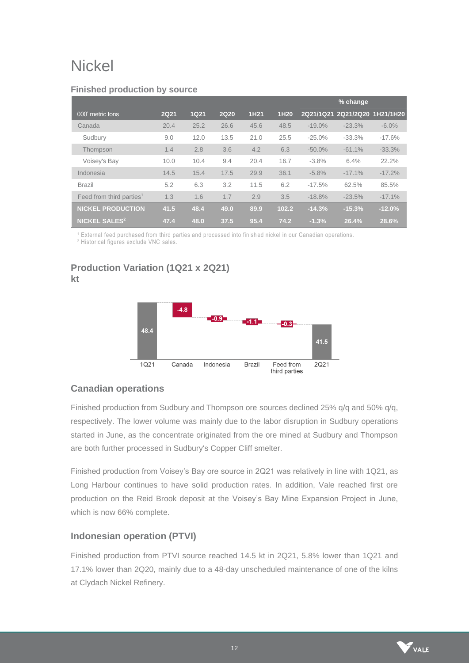# **Nickel**

|                                      |             |             |             |      |       |           | % change                      |          |
|--------------------------------------|-------------|-------------|-------------|------|-------|-----------|-------------------------------|----------|
| 000' metric tons                     | <b>2Q21</b> | <b>1Q21</b> | <b>2Q20</b> | 1H21 | 1H20  |           | 2Q21/1Q21 2Q21/2Q20 1H21/1H20 |          |
| Canada                               | 20.4        | 25.2        | 26.6        | 45.6 | 48.5  | $-19.0%$  | $-23.3%$                      | $-6.0\%$ |
| Sudbury                              | 9.0         | 12.0        | 13.5        | 21.0 | 25.5  | $-25.0%$  | $-33.3%$                      | $-17.6%$ |
| Thompson                             | 1.4         | 2.8         | 3.6         | 4.2  | 6.3   | $-50.0\%$ | $-61.1%$                      | $-33.3%$ |
| Voisey's Bay                         | 10.0        | 10.4        | 9.4         | 20.4 | 16.7  | $-3.8%$   | 6.4%                          | 22.2%    |
| Indonesia                            | 14.5        | 15.4        | 17.5        | 29.9 | 36.1  | $-5.8%$   | $-17.1%$                      | $-17.2%$ |
| <b>Brazil</b>                        | 5.2         | 6.3         | 3.2         | 11.5 | 6.2   | $-17.5%$  | 62.5%                         | 85.5%    |
| Feed from third parties <sup>1</sup> | 1.3         | 1.6         | 1.7         | 2.9  | 3.5   | $-18.8%$  | $-23.5%$                      | $-17.1%$ |
| <b>NICKEL PRODUCTION</b>             | 41.5        | 48.4        | 49.0        | 89.9 | 102.2 | $-14.3%$  | $-15.3%$                      | $-12.0%$ |
| <b>NICKEL SALES<sup>2</sup></b>      | 47.4        | 48.0        | 37.5        | 95.4 | 74.2  | $-1.3%$   | 26.4%                         | 28.6%    |

#### **Finished production by source**

<sup>1</sup> External feed purchased from third parties and processed into finish ed nickel in our Canadian operations.

<sup>2</sup> Historical figures exclude VNC sales.

# **Production Variation (1Q21 x 2Q21) kt**



# **Canadian operations**

Finished production from Sudbury and Thompson ore sources declined 25% q/q and 50% q/q, respectively. The lower volume was mainly due to the labor disruption in Sudbury operations started in June, as the concentrate originated from the ore mined at Sudbury and Thompson are both further processed in Sudbury's Copper Cliff smelter.

Finished production from Voisey's Bay ore source in 2Q21 was relatively in line with 1Q21, as Long Harbour continues to have solid production rates. In addition, Vale reached first ore production on the Reid Brook deposit at the Voisey's Bay Mine Expansion Project in June, which is now 66% complete.

# **Indonesian operation (PTVI)**

Finished production from PTVI source reached 14.5 kt in 2Q21, 5.8% lower than 1Q21 and 17.1% lower than 2Q20, mainly due to a 48-day unscheduled maintenance of one of the kilns at Clydach Nickel Refinery.

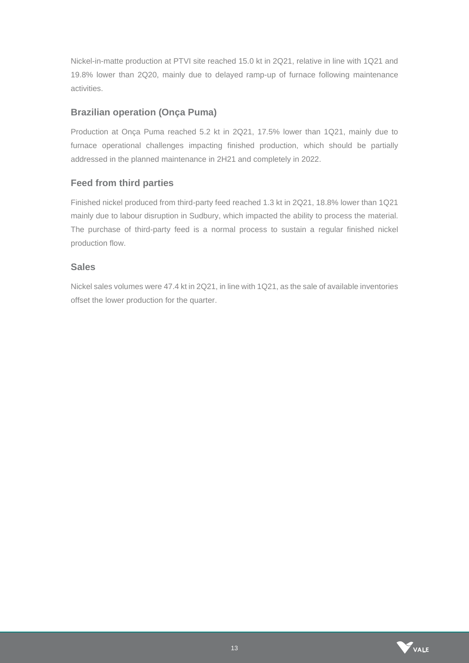Nickel-in-matte production at PTVI site reached 15.0 kt in 2Q21, relative in line with 1Q21 and 19.8% lower than 2Q20, mainly due to delayed ramp-up of furnace following maintenance activities.

### **Brazilian operation (Onça Puma)**

Production at Onça Puma reached 5.2 kt in 2Q21, 17.5% lower than 1Q21, mainly due to furnace operational challenges impacting finished production, which should be partially addressed in the planned maintenance in 2H21 and completely in 2022.

### **Feed from third parties**

Finished nickel produced from third-party feed reached 1.3 kt in 2Q21, 18.8% lower than 1Q21 mainly due to labour disruption in Sudbury, which impacted the ability to process the material. The purchase of third-party feed is a normal process to sustain a regular finished nickel production flow.

### **Sales**

Nickel sales volumes were 47.4 kt in 2Q21, in line with 1Q21, as the sale of available inventories offset the lower production for the quarter.

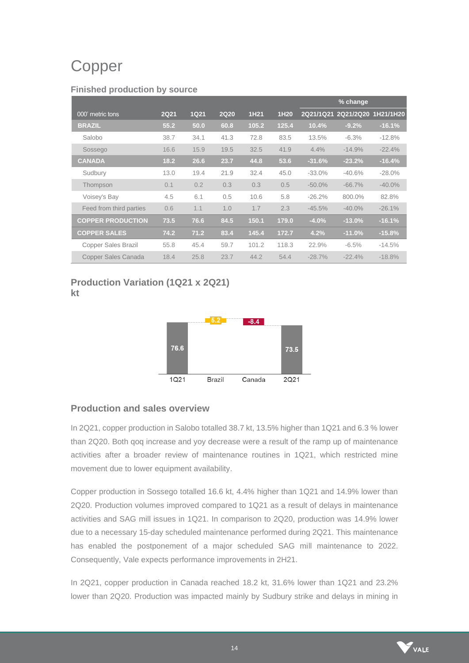# Copper

#### **Finished production by source**

|                            |             |             |             |       |       |           | % change                      |           |
|----------------------------|-------------|-------------|-------------|-------|-------|-----------|-------------------------------|-----------|
| 000' metric tons           | <b>2Q21</b> | <b>1Q21</b> | <b>2Q20</b> | 1H21  | 1H20  |           | 2Q21/1Q21 2Q21/2Q20 1H21/1H20 |           |
| <b>BRAZIL</b>              | 55.2        | 50.0        | 60.8        | 105.2 | 125.4 | 10.4%     | $-9.2%$                       | $-16.1%$  |
| Salobo                     | 38.7        | 34.1        | 41.3        | 72.8  | 83.5  | 13.5%     | $-6.3%$                       | $-12.8%$  |
| Sossego                    | 16.6        | 15.9        | 19.5        | 32.5  | 41.9  | $4.4\%$   | $-14.9%$                      | $-22.4%$  |
| <b>CANADA</b>              | 18.2        | 26.6        | 23.7        | 44.8  | 53.6  | $-31.6%$  | $-23.2%$                      | $-16.4%$  |
| Sudbury                    | 13.0        | 19.4        | 21.9        | 32.4  | 45.0  | $-33.0%$  | $-40.6%$                      | $-28.0\%$ |
| Thompson                   | 0.1         | 0.2         | 0.3         | 0.3   | 0.5   | $-50.0\%$ | $-66.7%$                      | $-40.0\%$ |
| Voisey's Bay               | 4.5         | 6.1         | 0.5         | 10.6  | 5.8   | $-26.2%$  | 800.0%                        | 82.8%     |
| Feed from third parties    | 0.6         | 1.1         | 1.0         | 1.7   | 2.3   | $-45.5%$  | $-40.0%$                      | $-26.1%$  |
| <b>COPPER PRODUCTION</b>   | 73.5        | 76.6        | 84.5        | 150.1 | 179.0 | $-4.0%$   | $-13.0%$                      | $-16.1%$  |
| <b>COPPER SALES</b>        | 74.2        | 71.2        | 83.4        | 145.4 | 172.7 | 4.2%      | $-11.0%$                      | $-15.8%$  |
| <b>Copper Sales Brazil</b> | 55.8        | 45.4        | 59.7        | 101.2 | 118.3 | 22.9%     | $-6.5%$                       | $-14.5%$  |
| Copper Sales Canada        | 18.4        | 25.8        | 23.7        | 44.2  | 54.4  | $-28.7%$  | $-22.4%$                      | $-18.8%$  |

# **Production Variation (1Q21 x 2Q21) kt**



# **Production and sales overview**

In 2Q21, copper production in Salobo totalled 38.7 kt, 13.5% higher than 1Q21 and 6.3 % lower than 2Q20. Both qoq increase and yoy decrease were a result of the ramp up of maintenance activities after a broader review of maintenance routines in 1Q21, which restricted mine movement due to lower equipment availability.

Copper production in Sossego totalled 16.6 kt, 4.4% higher than 1Q21 and 14.9% lower than 2Q20. Production volumes improved compared to 1Q21 as a result of delays in maintenance activities and SAG mill issues in 1Q21. In comparison to 2Q20, production was 14.9% lower due to a necessary 15-day scheduled maintenance performed during 2Q21. This maintenance has enabled the postponement of a major scheduled SAG mill maintenance to 2022. Consequently, Vale expects performance improvements in 2H21.

In 2Q21, copper production in Canada reached 18.2 kt, 31.6% lower than 1Q21 and 23.2% lower than 2Q20. Production was impacted mainly by Sudbury strike and delays in mining in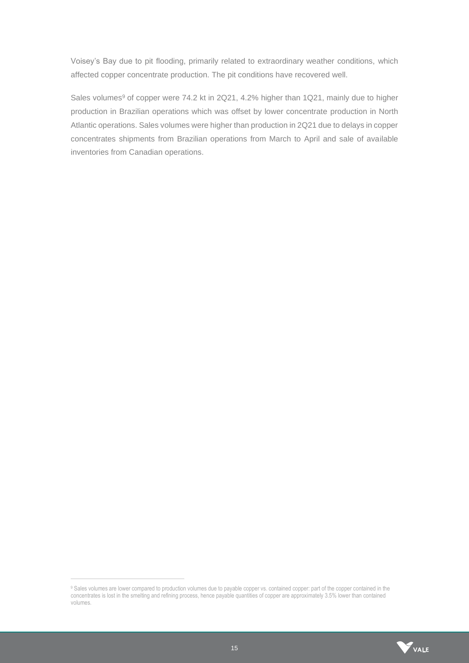Voisey's Bay due to pit flooding, primarily related to extraordinary weather conditions, which affected copper concentrate production. The pit conditions have recovered well.

Sales volumes<sup>9</sup> of copper were 74.2 kt in 2Q21, 4.2% higher than 1Q21, mainly due to higher production in Brazilian operations which was offset by lower concentrate production in North Atlantic operations. Sales volumes were higher than production in 2Q21 due to delays in copper concentrates shipments from Brazilian operations from March to April and sale of available inventories from Canadian operations.

<sup>9</sup> Sales volumes are lower compared to production volumes due to payable copper vs. contained copper: part of the copper contained in the concentrates is lost in the smelting and refining process, hence payable quantities of copper are approximately 3.5% lower than contained volumes.

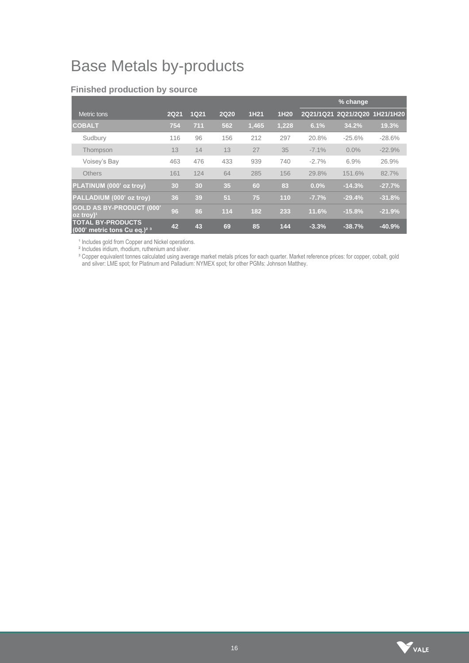# Base Metals by-products

|                                                                       |             |             |             |       |       |          | % change                      |          |
|-----------------------------------------------------------------------|-------------|-------------|-------------|-------|-------|----------|-------------------------------|----------|
| Metric tons                                                           | <b>2Q21</b> | <b>1Q21</b> | <b>2Q20</b> | 1H21  | 1H20  |          | 2Q21/1Q21 2Q21/2Q20 1H21/1H20 |          |
| <b>COBALT</b>                                                         | 754         | 711         | 562         | 1,465 | 1,228 | 6.1%     | 34.2%                         | 19.3%    |
| Sudbury                                                               | 116         | 96          | 156         | 212   | 297   | 20.8%    | $-25.6%$                      | $-28.6%$ |
| Thompson                                                              | 13          | 14          | 13          | 27    | 35    | $-7.1\%$ | $0.0\%$                       | $-22.9%$ |
| Voisey's Bay                                                          | 463         | 476         | 433         | 939   | 740   | $-2.7%$  | 6.9%                          | 26.9%    |
| <b>Others</b>                                                         | 161         | 124         | 64          | 285   | 156   | 29.8%    | 151.6%                        | 82.7%    |
| PLATINUM (000' oz troy)                                               | 30          | 30          | 35          | 60    | 83    | 0.0%     | $-14.3%$                      | $-27.7%$ |
| PALLADIUM (000' oz troy)                                              | 36          | 39          | 51          | 75    | 110   | $-7.7%$  | $-29.4%$                      | $-31.8%$ |
| <b>GOLD AS BY-PRODUCT (000'</b><br>$oz$ troy) <sup>1</sup>            | 96          | 86          | 114         | 182   | 233   | 11.6%    | $-15.8%$                      | $-21.9%$ |
| <b>TOTAL BY-PRODUCTS</b><br>$(000)$ metric tons Cu eq.) <sup>23</sup> | 42          | 43          | 69          | 85    | 144   | $-3.3%$  | $-38.7%$                      | $-40.9%$ |

#### **Finished production by source**

<sup>1</sup> Includes gold from Copper and Nickel operations.

² Includes iridium, rhodium, ruthenium and silver.

<sup>3</sup> Copper equivalent tonnes calculated using average market metals prices for each quarter. Market reference prices: for copper, cobalt, gold and silver: LME spot; for Platinum and Palladium: NYMEX spot; for other PGMs: Johnson Matthey.